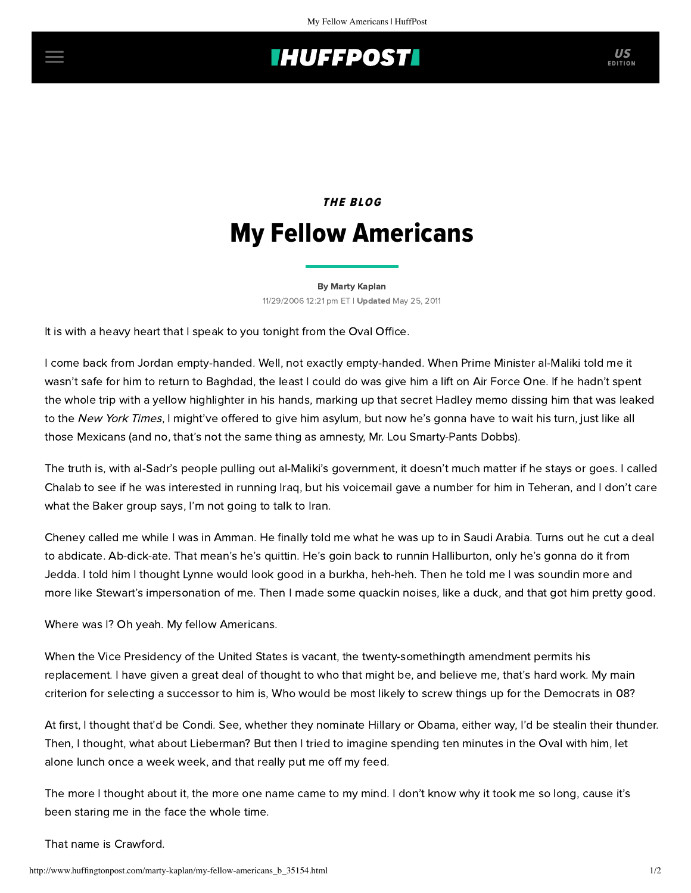## **INUFFPOSTI** US

## **THE BLOG** My Fellow Americans

[By Marty Kaplan](http://www.huffingtonpost.com/author/marty-kaplan) 11/29/2006 12:21 pm ET | Updated May 25, 2011

It is with a heavy heart that I speak to you tonight from the Oval Office.

I come back from Jordan empty-handed. Well, not exactly empty-handed. When Prime Minister al-Maliki told me it wasn't safe for him to return to Baghdad, the least I could do was give him a lift on Air Force One. If he hadn't spent the whole trip with a yellow highlighter in his hands, marking up that secret Hadley memo dissing him that was leaked to the New York Times, I might've offered to give him asylum, but now he's gonna have to wait his turn, just like all those Mexicans (and no, that's not the same thing as amnesty, Mr. Lou Smarty-Pants Dobbs).

The truth is, with al-Sadr's people pulling out al-Maliki's government, it doesn't much matter if he stays or goes. I called Chalab to see if he was interested in running Iraq, but his voicemail gave a number for him in Teheran, and I don't care what the Baker group says, I'm not going to talk to Iran.

Cheney called me while I was in Amman. He finally told me what he was up to in Saudi Arabia. Turns out he cut a deal to abdicate. Ab-dick-ate. That mean's he's quittin. He's goin back to runnin Halliburton, only he's gonna do it from Jedda. I told him I thought Lynne would look good in a burkha, heh-heh. Then he told me I was soundin more and more like Stewart's impersonation of me. Then I made some quackin noises, like a duck, and that got him pretty good.

Where was I? Oh yeah. My fellow Americans.

When the Vice Presidency of the United States is vacant, the twenty-somethingth amendment permits his replacement. I have given a great deal of thought to who that might be, and believe me, that's hard work. My main criterion for selecting a successor to him is, Who would be most likely to screw things up for the Democrats in 08?

At first, I thought that'd be Condi. See, whether they nominate Hillary or Obama, either way, I'd be stealin their thunder. Then, I thought, what about Lieberman? But then I tried to imagine spending ten minutes in the Oval with him, let alone lunch once a week week, and that really put me off my feed.

The more I thought about it, the more one name came to my mind. I don't know why it took me so long, cause it's been staring me in the face the whole time.

That name is Crawford.